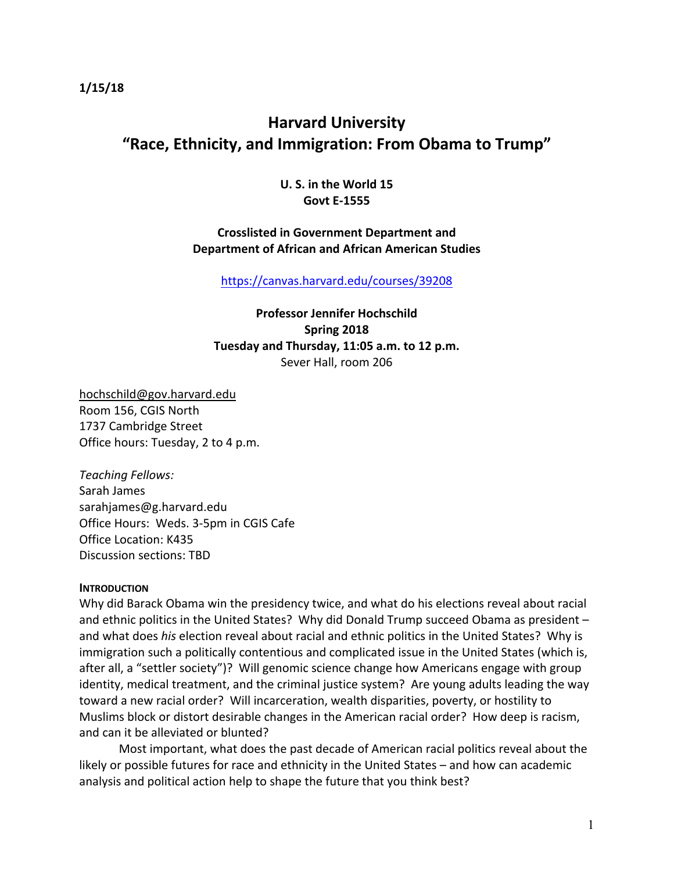# **Harvard University "Race, Ethnicity, and Immigration: From Obama to Trump"**

## **U. S. in the World 15 Govt E-1555**

# **Crosslisted in Government Department and Department of African and African American Studies**

https://canvas.harvard.edu/courses/39208

# **Professor Jennifer Hochschild Spring 2018 Tuesday and Thursday, 11:05 a.m. to 12 p.m.** Sever Hall, room 206

hochschild@gov.harvard.edu Room 156, CGIS North 1737 Cambridge Street Office hours: Tuesday, 2 to 4 p.m.

*Teaching Fellows:*  Sarah James sarahjames@g.harvard.edu Office Hours: Weds. 3-5pm in CGIS Cafe Office Location: K435 Discussion sections: TBD

#### **INTRODUCTION**

Why did Barack Obama win the presidency twice, and what do his elections reveal about racial and ethnic politics in the United States? Why did Donald Trump succeed Obama as president – and what does *his* election reveal about racial and ethnic politics in the United States? Why is immigration such a politically contentious and complicated issue in the United States (which is, after all, a "settler society")? Will genomic science change how Americans engage with group identity, medical treatment, and the criminal justice system? Are young adults leading the way toward a new racial order? Will incarceration, wealth disparities, poverty, or hostility to Muslims block or distort desirable changes in the American racial order? How deep is racism, and can it be alleviated or blunted?

Most important, what does the past decade of American racial politics reveal about the likely or possible futures for race and ethnicity in the United States – and how can academic analysis and political action help to shape the future that you think best?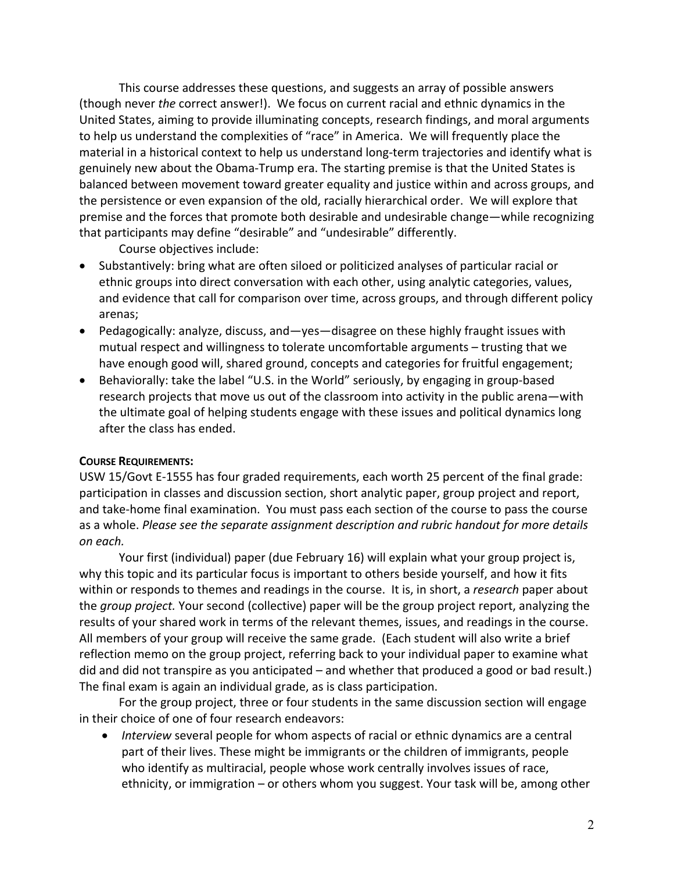This course addresses these questions, and suggests an array of possible answers (though never *the* correct answer!). We focus on current racial and ethnic dynamics in the United States, aiming to provide illuminating concepts, research findings, and moral arguments to help us understand the complexities of "race" in America. We will frequently place the material in a historical context to help us understand long-term trajectories and identify what is genuinely new about the Obama-Trump era. The starting premise is that the United States is balanced between movement toward greater equality and justice within and across groups, and the persistence or even expansion of the old, racially hierarchical order. We will explore that premise and the forces that promote both desirable and undesirable change—while recognizing that participants may define "desirable" and "undesirable" differently.

Course objectives include:

- Substantively: bring what are often siloed or politicized analyses of particular racial or ethnic groups into direct conversation with each other, using analytic categories, values, and evidence that call for comparison over time, across groups, and through different policy arenas;
- Pedagogically: analyze, discuss, and—yes—disagree on these highly fraught issues with mutual respect and willingness to tolerate uncomfortable arguments – trusting that we have enough good will, shared ground, concepts and categories for fruitful engagement;
- Behaviorally: take the label "U.S. in the World" seriously, by engaging in group-based research projects that move us out of the classroom into activity in the public arena—with the ultimate goal of helping students engage with these issues and political dynamics long after the class has ended.

# **COURSE REQUIREMENTS:**

USW 15/Govt E-1555 has four graded requirements, each worth 25 percent of the final grade: participation in classes and discussion section, short analytic paper, group project and report, and take-home final examination. You must pass each section of the course to pass the course as a whole. *Please see the separate assignment description and rubric handout for more details on each.*

Your first (individual) paper (due February 16) will explain what your group project is, why this topic and its particular focus is important to others beside yourself, and how it fits within or responds to themes and readings in the course. It is, in short, a *research* paper about the *group project.* Your second (collective) paper will be the group project report, analyzing the results of your shared work in terms of the relevant themes, issues, and readings in the course. All members of your group will receive the same grade. (Each student will also write a brief reflection memo on the group project, referring back to your individual paper to examine what did and did not transpire as you anticipated – and whether that produced a good or bad result.) The final exam is again an individual grade, as is class participation.

For the group project, three or four students in the same discussion section will engage in their choice of one of four research endeavors:

• *Interview* several people for whom aspects of racial or ethnic dynamics are a central part of their lives. These might be immigrants or the children of immigrants, people who identify as multiracial, people whose work centrally involves issues of race, ethnicity, or immigration – or others whom you suggest. Your task will be, among other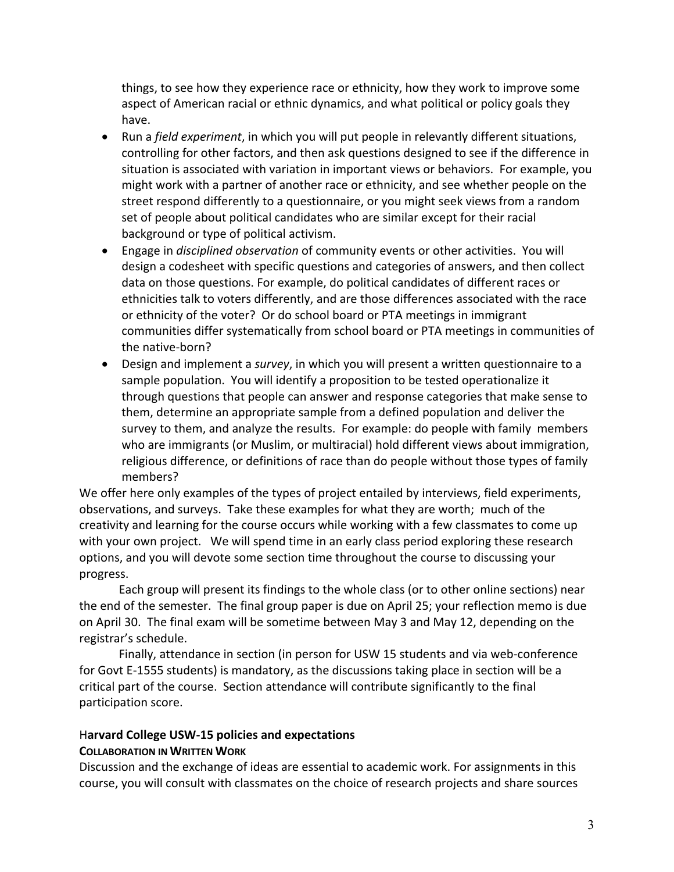things, to see how they experience race or ethnicity, how they work to improve some aspect of American racial or ethnic dynamics, and what political or policy goals they have.

- Run a *field experiment*, in which you will put people in relevantly different situations, controlling for other factors, and then ask questions designed to see if the difference in situation is associated with variation in important views or behaviors. For example, you might work with a partner of another race or ethnicity, and see whether people on the street respond differently to a questionnaire, or you might seek views from a random set of people about political candidates who are similar except for their racial background or type of political activism.
- Engage in *disciplined observation* of community events or other activities. You will design a codesheet with specific questions and categories of answers, and then collect data on those questions. For example, do political candidates of different races or ethnicities talk to voters differently, and are those differences associated with the race or ethnicity of the voter? Or do school board or PTA meetings in immigrant communities differ systematically from school board or PTA meetings in communities of the native-born?
- Design and implement a *survey*, in which you will present a written questionnaire to a sample population. You will identify a proposition to be tested operationalize it through questions that people can answer and response categories that make sense to them, determine an appropriate sample from a defined population and deliver the survey to them, and analyze the results. For example: do people with family members who are immigrants (or Muslim, or multiracial) hold different views about immigration, religious difference, or definitions of race than do people without those types of family members?

We offer here only examples of the types of project entailed by interviews, field experiments, observations, and surveys. Take these examples for what they are worth; much of the creativity and learning for the course occurs while working with a few classmates to come up with your own project. We will spend time in an early class period exploring these research options, and you will devote some section time throughout the course to discussing your progress.

Each group will present its findings to the whole class (or to other online sections) near the end of the semester. The final group paper is due on April 25; your reflection memo is due on April 30. The final exam will be sometime between May 3 and May 12, depending on the registrar's schedule.

Finally, attendance in section (in person for USW 15 students and via web-conference for Govt E-1555 students) is mandatory, as the discussions taking place in section will be a critical part of the course. Section attendance will contribute significantly to the final participation score.

#### H**arvard College USW-15 policies and expectations**

#### **COLLABORATION IN WRITTEN WORK**

Discussion and the exchange of ideas are essential to academic work. For assignments in this course, you will consult with classmates on the choice of research projects and share sources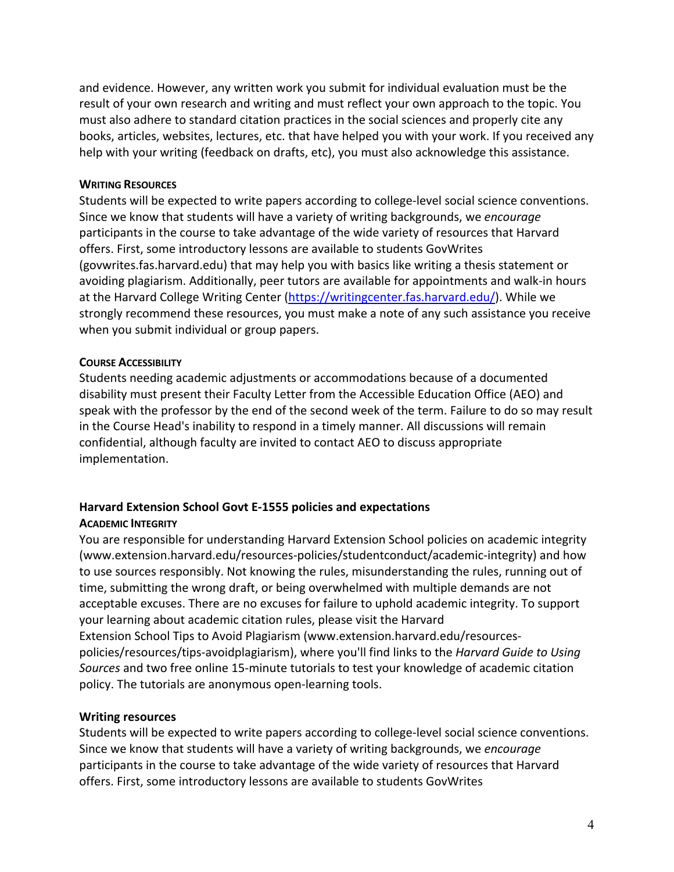and evidence. However, any written work you submit for individual evaluation must be the result of your own research and writing and must reflect your own approach to the topic. You must also adhere to standard citation practices in the social sciences and properly cite any books, articles, websites, lectures, etc. that have helped you with your work. If you received any help with your writing (feedback on drafts, etc), you must also acknowledge this assistance.

#### **WRITING RESOURCES**

Students will be expected to write papers according to college-level social science conventions. Since we know that students will have a variety of writing backgrounds, we *encourage* participants in the course to take advantage of the wide variety of resources that Harvard offers. First, some introductory lessons are available to students GovWrites (govwrites.fas.harvard.edu) that may help you with basics like writing a thesis statement or avoiding plagiarism. Additionally, peer tutors are available for appointments and walk-in hours at the Harvard College Writing Center (https://writingcenter.fas.harvard.edu/). While we strongly recommend these resources, you must make a note of any such assistance you receive when you submit individual or group papers.

# **COURSE ACCESSIBILITY**

Students needing academic adjustments or accommodations because of a documented disability must present their Faculty Letter from the Accessible Education Office (AEO) and speak with the professor by the end of the second week of the term. Failure to do so may result in the Course Head's inability to respond in a timely manner. All discussions will remain confidential, although faculty are invited to contact AEO to discuss appropriate implementation.

# **Harvard Extension School Govt E-1555 policies and expectations**

#### **ACADEMIC INTEGRITY**

You are responsible for understanding Harvard Extension School policies on academic integrity (www.extension.harvard.edu/resources-policies/studentconduct/academic-integrity) and how to use sources responsibly. Not knowing the rules, misunderstanding the rules, running out of time, submitting the wrong draft, or being overwhelmed with multiple demands are not acceptable excuses. There are no excuses for failure to uphold academic integrity. To support your learning about academic citation rules, please visit the Harvard Extension School Tips to Avoid Plagiarism (www.extension.harvard.edu/resourcespolicies/resources/tips-avoidplagiarism), where you'll find links to the *Harvard Guide to Using Sources* and two free online 15-minute tutorials to test your knowledge of academic citation policy. The tutorials are anonymous open-learning tools.

#### **Writing resources**

Students will be expected to write papers according to college-level social science conventions. Since we know that students will have a variety of writing backgrounds, we *encourage* participants in the course to take advantage of the wide variety of resources that Harvard offers. First, some introductory lessons are available to students GovWrites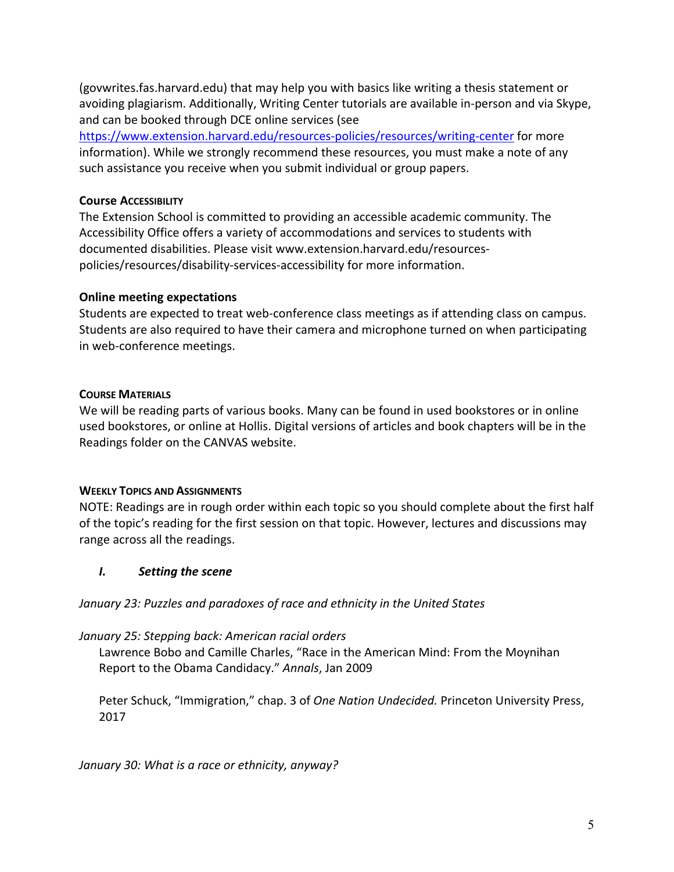(govwrites.fas.harvard.edu) that may help you with basics like writing a thesis statement or avoiding plagiarism. Additionally, Writing Center tutorials are available in-person and via Skype, and can be booked through DCE online services (see

https://www.extension.harvard.edu/resources-policies/resources/writing-center for more information). While we strongly recommend these resources, you must make a note of any such assistance you receive when you submit individual or group papers.

## **Course ACCESSIBILITY**

The Extension School is committed to providing an accessible academic community. The Accessibility Office offers a variety of accommodations and services to students with documented disabilities. Please visit www.extension.harvard.edu/resourcespolicies/resources/disability-services-accessibility for more information.

## **Online meeting expectations**

Students are expected to treat web-conference class meetings as if attending class on campus. Students are also required to have their camera and microphone turned on when participating in web-conference meetings.

## **COURSE MATERIALS**

We will be reading parts of various books. Many can be found in used bookstores or in online used bookstores, or online at Hollis. Digital versions of articles and book chapters will be in the Readings folder on the CANVAS website.

#### **WEEKLY TOPICS AND ASSIGNMENTS**

NOTE: Readings are in rough order within each topic so you should complete about the first half of the topic's reading for the first session on that topic. However, lectures and discussions may range across all the readings.

# *I. Setting the scene*

# *January 23: Puzzles and paradoxes of race and ethnicity in the United States*

#### *January 25: Stepping back: American racial orders*

Lawrence Bobo and Camille Charles, "Race in the American Mind: From the Moynihan Report to the Obama Candidacy." *Annals*, Jan 2009

Peter Schuck, "Immigration," chap. 3 of *One Nation Undecided.* Princeton University Press, 2017

*January 30: What is a race or ethnicity, anyway?*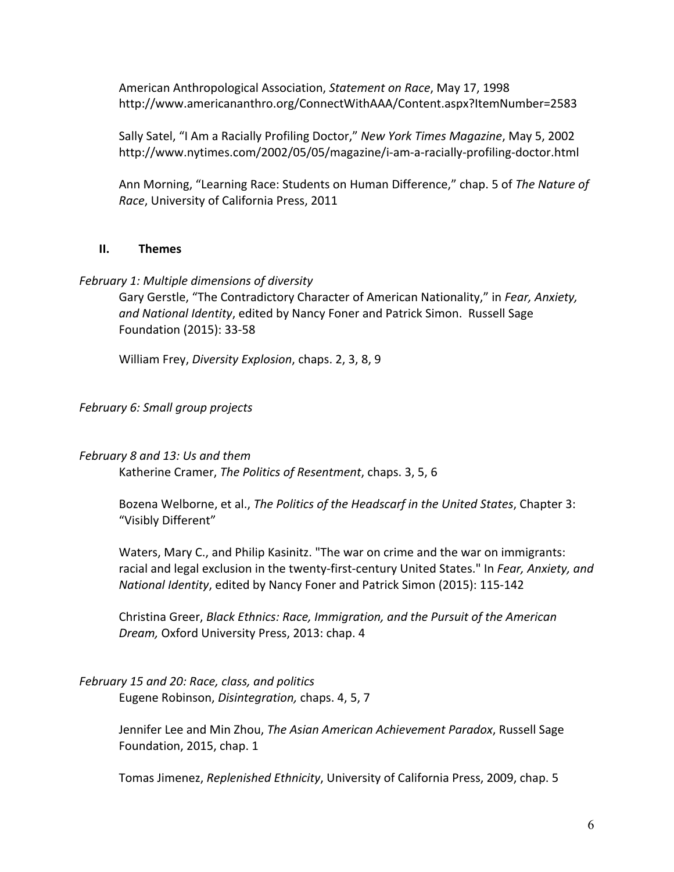American Anthropological Association, *Statement on Race*, May 17, 1998 http://www.americananthro.org/ConnectWithAAA/Content.aspx?ItemNumber=2583

Sally Satel, "I Am a Racially Profiling Doctor," *New York Times Magazine*, May 5, 2002 http://www.nytimes.com/2002/05/05/magazine/i-am-a-racially-profiling-doctor.html

Ann Morning, "Learning Race: Students on Human Difference," chap. 5 of *The Nature of Race*, University of California Press, 2011

#### **II. Themes**

#### *February 1: Multiple dimensions of diversity*

Gary Gerstle, "The Contradictory Character of American Nationality," in *Fear, Anxiety, and National Identity*, edited by Nancy Foner and Patrick Simon. Russell Sage Foundation (2015): 33-58

William Frey, *Diversity Explosion*, chaps. 2, 3, 8, 9

## *February 6: Small group projects*

#### *February 8 and 13: Us and them*

Katherine Cramer, *The Politics of Resentment*, chaps. 3, 5, 6

Bozena Welborne, et al., *The Politics of the Headscarf in the United States*, Chapter 3: "Visibly Different"

Waters, Mary C., and Philip Kasinitz. "The war on crime and the war on immigrants: racial and legal exclusion in the twenty-first-century United States." In *Fear, Anxiety, and National Identity*, edited by Nancy Foner and Patrick Simon (2015): 115-142

Christina Greer, *Black Ethnics: Race, Immigration, and the Pursuit of the American Dream,* Oxford University Press, 2013: chap. 4

# *February 15 and 20: Race, class, and politics*

Eugene Robinson, *Disintegration,* chaps. 4, 5, 7

Jennifer Lee and Min Zhou, *The Asian American Achievement Paradox*, Russell Sage Foundation, 2015, chap. 1

Tomas Jimenez, *Replenished Ethnicity*, University of California Press, 2009, chap. 5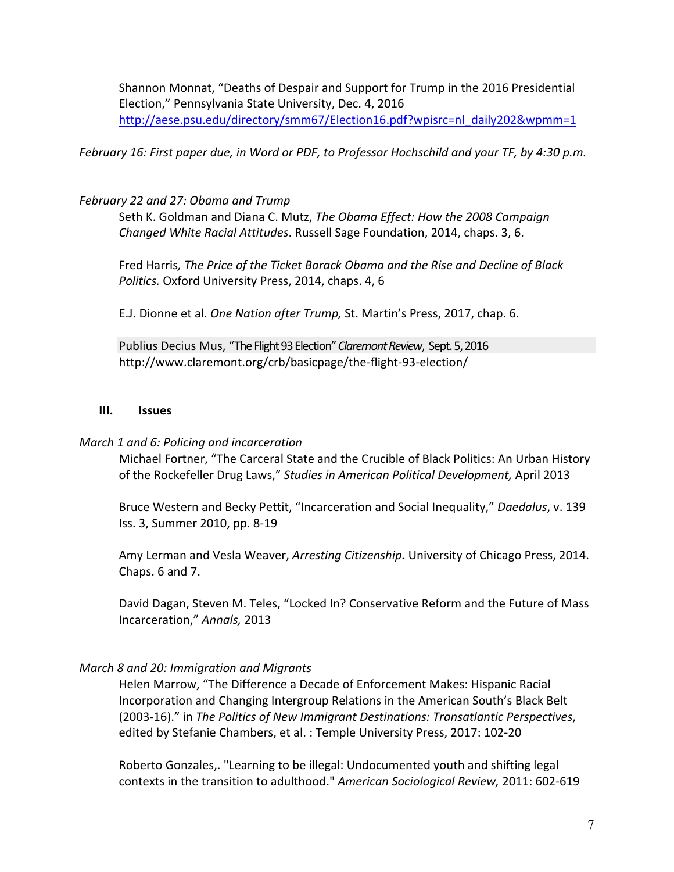Shannon Monnat, "Deaths of Despair and Support for Trump in the 2016 Presidential Election," Pennsylvania State University, Dec. 4, 2016 http://aese.psu.edu/directory/smm67/Election16.pdf?wpisrc=nl\_daily202&wpmm=1

*February 16: First paper due, in Word or PDF, to Professor Hochschild and your TF, by 4:30 p.m.*

## *February 22 and 27: Obama and Trump*

Seth K. Goldman and Diana C. Mutz, *The Obama Effect: How the 2008 Campaign Changed White Racial Attitudes*. Russell Sage Foundation, 2014, chaps. 3, 6.

Fred Harris*, The Price of the Ticket Barack Obama and the Rise and Decline of Black Politics.* Oxford University Press, 2014, chaps. 4, 6

E.J. Dionne et al. *One Nation after Trump,* St. Martin's Press, 2017, chap. 6.

Publius Decius Mus, "The Flight 93 Election" *Claremont Review*, Sept. 5, 2016 http://www.claremont.org/crb/basicpage/the-flight-93-election/

#### **III. Issues**

#### *March 1 and 6: Policing and incarceration*

Michael Fortner, "The Carceral State and the Crucible of Black Politics: An Urban History of the Rockefeller Drug Laws," *Studies in American Political Development,* April 2013

Bruce Western and Becky Pettit, "Incarceration and Social Inequality," *Daedalus*, v. 139 Iss. 3, Summer 2010, pp. 8-19

Amy Lerman and Vesla Weaver, *Arresting Citizenship.* University of Chicago Press, 2014. Chaps. 6 and 7.

David Dagan, Steven M. Teles, "Locked In? Conservative Reform and the Future of Mass Incarceration," *Annals,* 2013

# *March 8 and 20: Immigration and Migrants*

Helen Marrow, "The Difference a Decade of Enforcement Makes: Hispanic Racial Incorporation and Changing Intergroup Relations in the American South's Black Belt (2003-16)." in *The Politics of New Immigrant Destinations: Transatlantic Perspectives*, edited by Stefanie Chambers, et al. : Temple University Press, 2017: 102-20

Roberto Gonzales,. "Learning to be illegal: Undocumented youth and shifting legal contexts in the transition to adulthood." *American Sociological Review,* 2011: 602-619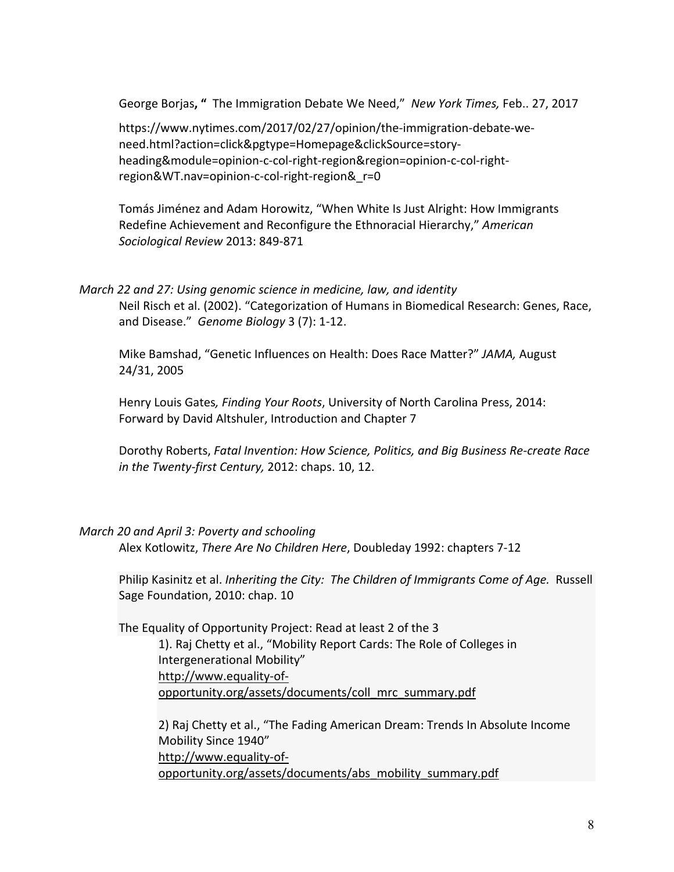George Borjas**, "** The Immigration Debate We Need," *New York Times,* Feb.. 27, 2017

https://www.nytimes.com/2017/02/27/opinion/the-immigration-debate-weneed.html?action=click&pgtype=Homepage&clickSource=storyheading&module=opinion-c-col-right-region&region=opinion-c-col-rightregion&WT.nav=opinion-c-col-right-region&\_r=0

Tomás Jiménez and Adam Horowitz, "When White Is Just Alright: How Immigrants Redefine Achievement and Reconfigure the Ethnoracial Hierarchy," *American Sociological Review* 2013: 849-871

*March 22 and 27: Using genomic science in medicine, law, and identity* Neil Risch et al. (2002). "Categorization of Humans in Biomedical Research: Genes, Race, and Disease." *Genome Biology* 3 (7): 1-12.

Mike Bamshad, "Genetic Influences on Health: Does Race Matter?" *JAMA,* August 24/31, 2005

Henry Louis Gates*, Finding Your Roots*, University of North Carolina Press, 2014: Forward by David Altshuler, Introduction and Chapter 7

Dorothy Roberts, *Fatal Invention: How Science, Politics, and Big Business Re-create Race in the Twenty-first Century,* 2012: chaps. 10, 12.

#### *March 20 and April 3: Poverty and schooling*

Alex Kotlowitz, *There Are No Children Here*, Doubleday 1992: chapters 7-12

Philip Kasinitz et al. *Inheriting the City: The Children of Immigrants Come of Age.* Russell Sage Foundation, 2010: chap. 10

The Equality of Opportunity Project: Read at least 2 of the 3 1). Raj Chetty et al., "Mobility Report Cards: The Role of Colleges in Intergenerational Mobility" http://www.equality-ofopportunity.org/assets/documents/coll\_mrc\_summary.pdf

2) Raj Chetty et al., "The Fading American Dream: Trends In Absolute Income Mobility Since 1940" http://www.equality-ofopportunity.org/assets/documents/abs\_mobility\_summary.pdf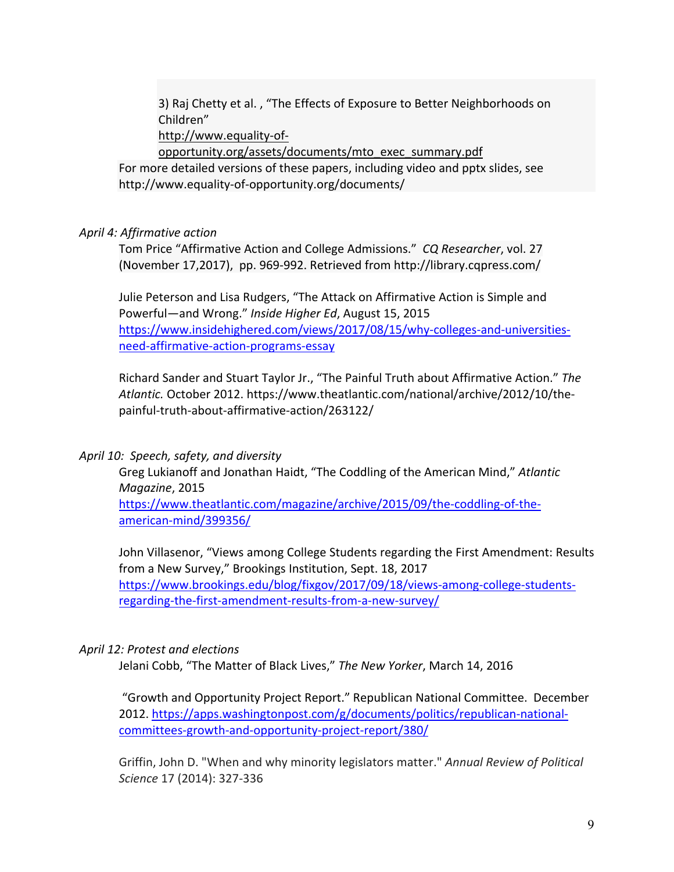3) Raj Chetty et al. , "The Effects of Exposure to Better Neighborhoods on Children"

http://www.equality-of-

opportunity.org/assets/documents/mto\_exec\_summary.pdf For more detailed versions of these papers, including video and pptx slides, see http://www.equality-of-opportunity.org/documents/

## *April 4: Affirmative action*

Tom Price "Affirmative Action and College Admissions." *CQ Researcher*, vol. 27 (November 17,2017), pp. 969-992. Retrieved from http://library.cqpress.com/

Julie Peterson and Lisa Rudgers, "The Attack on Affirmative Action is Simple and Powerful—and Wrong." *Inside Higher Ed*, August 15, 2015 https://www.insidehighered.com/views/2017/08/15/why-colleges-and-universitiesneed-affirmative-action-programs-essay

Richard Sander and Stuart Taylor Jr., "The Painful Truth about Affirmative Action." *The Atlantic.* October 2012. https://www.theatlantic.com/national/archive/2012/10/thepainful-truth-about-affirmative-action/263122/

# *April 10: Speech, safety, and diversity*

Greg Lukianoff and Jonathan Haidt, "The Coddling of the American Mind," *Atlantic Magazine*, 2015 https://www.theatlantic.com/magazine/archive/2015/09/the-coddling-of-the-

american-mind/399356/

John Villasenor, "Views among College Students regarding the First Amendment: Results from a New Survey," Brookings Institution, Sept. 18, 2017 https://www.brookings.edu/blog/fixgov/2017/09/18/views-among-college-studentsregarding-the-first-amendment-results-from-a-new-survey/

# *April 12: Protest and elections*

Jelani Cobb, "The Matter of Black Lives," *The New Yorker*, March 14, 2016

"Growth and Opportunity Project Report." Republican National Committee. December 2012. https://apps.washingtonpost.com/g/documents/politics/republican-nationalcommittees-growth-and-opportunity-project-report/380/

Griffin, John D. "When and why minority legislators matter." *Annual Review of Political Science* 17 (2014): 327-336